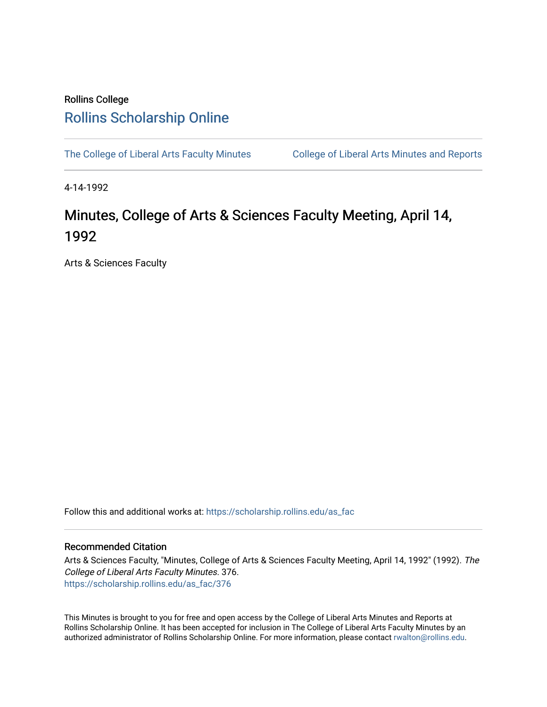## Rollins College [Rollins Scholarship Online](https://scholarship.rollins.edu/)

[The College of Liberal Arts Faculty Minutes](https://scholarship.rollins.edu/as_fac) College of Liberal Arts Minutes and Reports

4-14-1992

## Minutes, College of Arts & Sciences Faculty Meeting, April 14, 1992

Arts & Sciences Faculty

Follow this and additional works at: [https://scholarship.rollins.edu/as\\_fac](https://scholarship.rollins.edu/as_fac?utm_source=scholarship.rollins.edu%2Fas_fac%2F376&utm_medium=PDF&utm_campaign=PDFCoverPages) 

## Recommended Citation

Arts & Sciences Faculty, "Minutes, College of Arts & Sciences Faculty Meeting, April 14, 1992" (1992). The College of Liberal Arts Faculty Minutes. 376. [https://scholarship.rollins.edu/as\\_fac/376](https://scholarship.rollins.edu/as_fac/376?utm_source=scholarship.rollins.edu%2Fas_fac%2F376&utm_medium=PDF&utm_campaign=PDFCoverPages) 

This Minutes is brought to you for free and open access by the College of Liberal Arts Minutes and Reports at Rollins Scholarship Online. It has been accepted for inclusion in The College of Liberal Arts Faculty Minutes by an authorized administrator of Rollins Scholarship Online. For more information, please contact [rwalton@rollins.edu](mailto:rwalton@rollins.edu).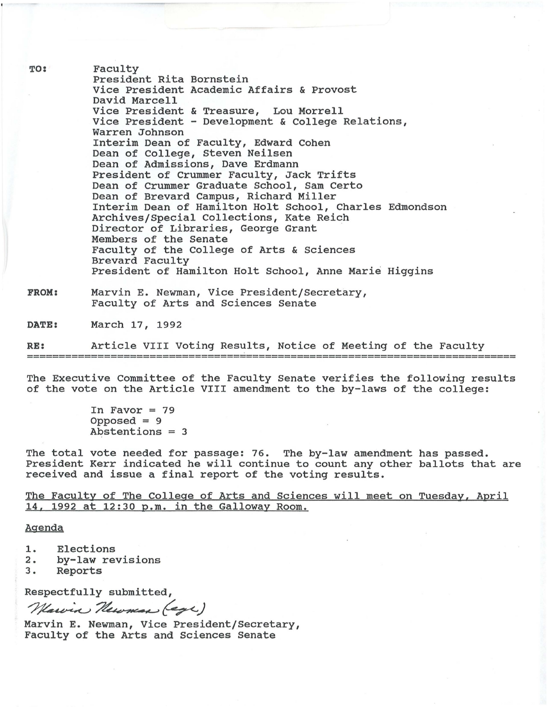Faculty President Rita Bornstein Vice President Academic Affairs & Provost David Marcell Vice President & Treasure, Lou Morrell Vice President - Development & College Relations, Warren Johnson Interim Dean of Faculty, Edward Cohen Dean of College, Steven Neilsen Dean of Admissions, Dave Erdmann President of Crummer Faculty, Jack Trifts Dean of Crummer Graduate School, Sam Certo Dean of Brevard Campus, Richard Miller Interim Dean of Hamilton Holt School, Charles Edmondson Archives/Special Collections, Kate Reich Director of Libraries, George Grant Members of the Senate Faculty of the College of Arts & Sciences Brevard Faculty President of Hamilton Holt School, Anne Marie Higgins

**FROM:**  Marvin E. Newman, Vice President/Secretary, Faculty of Arts and Sciences Senate

**DATE:**  March 17, 1992

**RE:**  Article VIII Voting Results, Notice of Meeting of the Faculty ===========================--------=========================================

The Executive Committee of the Faculty Senate verifies the following results of the vote on the Article VIII amendment to the by-laws of the college:

> In Favor  $= 79$  $Opposed = 9$ Abstentions = 3

The total vote needed for passage: 76. The by-law amendment has passed. President Kerr indicated he will continue to count any other ballots that are received and issue a final report of the voting results.

The Faculty of The College of Arts and Sciences will meet on Tuesday, April 14, 1992 at 12:30 p.m. in the Galloway Room.

Agenda

**TO:** 

- 1. Elections<br>2. by-law re
- 2. by-law revisions<br>3. Reports
- **Reports**

Respectfully submitted,

3. Reports<br>Respectfully submitted,<br>*Newin R. Newman, Vice Preside* 

Marvin E. Newman, Vice President/Secretary, Faculty of the Arts and Sciences Senate